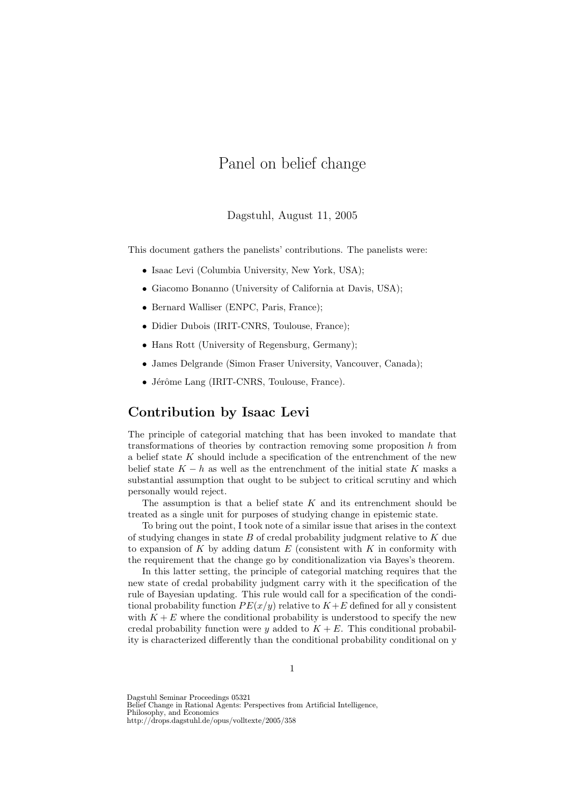# Panel on belief change

 $D^2$  and  $D^2$  and  $D^2$  and  $D^2$  and  $D^2$   $D^2$   $D^2$ 

This document gathers the panelists' contributions. The panelists were:

- Isaac Levi (Columbia University, New York, USA);
- Giacomo Bonanno (University of California at Davis, USA);
- Bernard Walliser (ENPC, Paris, France);
- Didier Dubois (IRIT-CNRS, Toulouse, France);
- Hans Rott (University of Regensburg, Germany);
- James Delgrande (Simon Fraser University, Vancouver, Canada);
- Jérôme Lang (IRIT-CNRS, Toulouse, France).

# **Contribution by Isaac Levi**

The principle of categorial matching that has been invoked to mandate that transformations of theories by contraction removing some proposition h from a belief state K should include a specification of the entrenchment of the new belief state  $K - h$  as well as the entrenchment of the initial state K masks a substantial assumption that ought to be subject to critical scrutiny and which personally would reject.

The assumption is that a belief state  $K$  and its entrenchment should be treated as a single unit for purposes of studying change in epistemic state.

To bring out the point, I took note of a similar issue that arises in the context of studying changes in state  $B$  of credal probability judgment relative to  $K$  due to expansion of  $K$  by adding datum  $E$  (consistent with  $K$  in conformity with the requirement that the change go by conditionalization via Bayes's theorem.

In this latter setting, the principle of categorial matching requires that the new state of credal probability judgment carry with it the specification of the rule of Bayesian updating. This rule would call for a specification of the conditional probability function  $PE(x/y)$  relative to  $K+E$  defined for all y consistent with  $K + E$  where the conditional probability is understood to specify the new credal probability function were y added to  $K + E$ . This conditional probability is characterized differently than the conditional probability conditional on y

Dagstuhl Seminar Proceedings 05321

Belief Change in Rational Agents: Perspectives from Artificial Intelligence, Philosophy, and Economics http://drops.dagstuhl.de/opus/volltexte/2005/358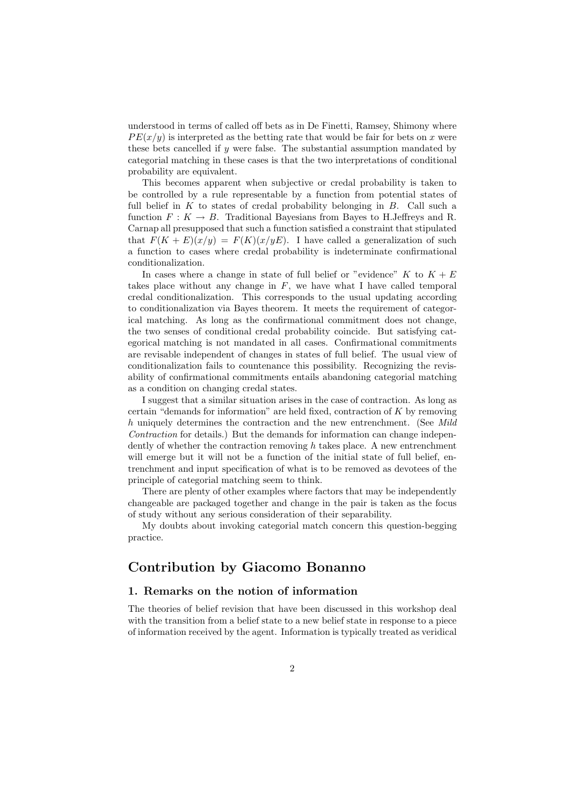understood in terms of called off bets as in De Finetti, Ramsey, Shimony where  $PE(x/y)$  is interpreted as the betting rate that would be fair for bets on x were these bets cancelled if y were false. The substantial assumption mandated by categorial matching in these cases is that the two interpretations of conditional probability are equivalent.

This becomes apparent when subjective or credal probability is taken to be controlled by a rule representable by a function from potential states of full belief in  $K$  to states of credal probability belonging in  $B$ . Call such a function  $F: K \to B$ . Traditional Bayesians from Bayes to H.Jeffreys and R. Carnap all presupposed that such a function satisfied a constraint that stipulated that  $F(K + E)(x/y) = F(K)(x/yE)$ . I have called a generalization of such a function to cases where credal probability is indeterminate confirmational conditionalization.

In cases where a change in state of full belief or "evidence" K to  $K + E$ takes place without any change in  $F$ , we have what I have called temporal credal conditionalization. This corresponds to the usual updating according to conditionalization via Bayes theorem. It meets the requirement of categorical matching. As long as the confirmational commitment does not change, the two senses of conditional credal probability coincide. But satisfying categorical matching is not mandated in all cases. Confirmational commitments are revisable independent of changes in states of full belief. The usual view of conditionalization fails to countenance this possibility. Recognizing the revisability of confirmational commitments entails abandoning categorial matching as a condition on changing credal states.

I suggest that a similar situation arises in the case of contraction. As long as certain "demands for information" are held fixed, contraction of  $K$  by removing h uniquely determines the contraction and the new entrenchment. (See *Mild Contraction* for details.) But the demands for information can change independently of whether the contraction removing  $h$  takes place. A new entrenchment will emerge but it will not be a function of the initial state of full belief, entrenchment and input specification of what is to be removed as devotees of the principle of categorial matching seem to think.

There are plenty of other examples where factors that may be independently changeable are packaged together and change in the pair is taken as the focus of study without any serious consideration of their separability.

My doubts about invoking categorial match concern this question-begging practice.

# **Contribution by Giacomo Bonanno**

## **1. Remarks on the notion of information**

The theories of belief revision that have been discussed in this workshop deal with the transition from a belief state to a new belief state in response to a piece of information received by the agent. Information is typically treated as veridical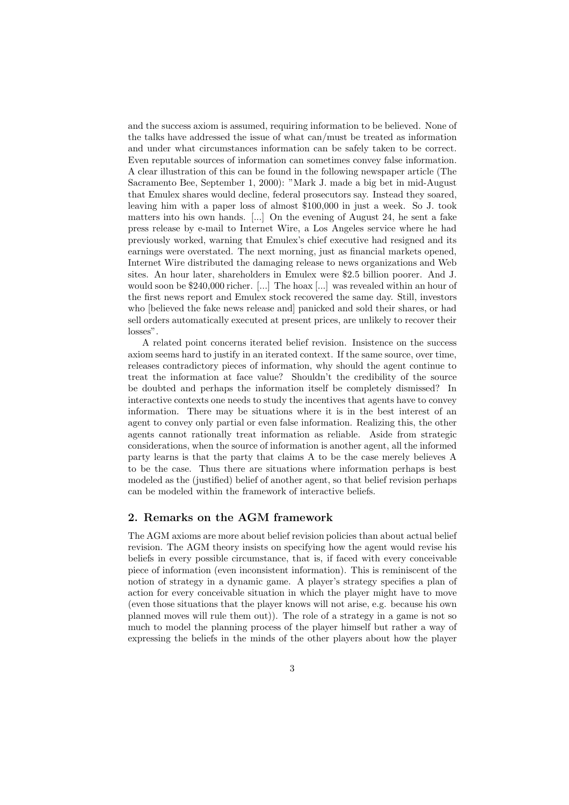and the success axiom is assumed, requiring information to be believed. None of the talks have addressed the issue of what can/must be treated as information and under what circumstances information can be safely taken to be correct. Even reputable sources of information can sometimes convey false information. A clear illustration of this can be found in the following newspaper article (The Sacramento Bee, September 1, 2000): "Mark J. made a big bet in mid-August that Emulex shares would decline, federal prosecutors say. Instead they soared, leaving him with a paper loss of almost \$100,000 in just a week. So J. took matters into his own hands. [...] On the evening of August 24, he sent a fake press release by e-mail to Internet Wire, a Los Angeles service where he had previously worked, warning that Emulex's chief executive had resigned and its earnings were overstated. The next morning, just as financial markets opened, Internet Wire distributed the damaging release to news organizations and Web sites. An hour later, shareholders in Emulex were \$2.5 billion poorer. And J. would soon be \$240,000 richer. [...] The hoax [...] was revealed within an hour of the first news report and Emulex stock recovered the same day. Still, investors who [believed the fake news release and] panicked and sold their shares, or had sell orders automatically executed at present prices, are unlikely to recover their losses".

A related point concerns iterated belief revision. Insistence on the success axiom seems hard to justify in an iterated context. If the same source, over time, releases contradictory pieces of information, why should the agent continue to treat the information at face value? Shouldn't the credibility of the source be doubted and perhaps the information itself be completely dismissed? In interactive contexts one needs to study the incentives that agents have to convey information. There may be situations where it is in the best interest of an agent to convey only partial or even false information. Realizing this, the other agents cannot rationally treat information as reliable. Aside from strategic considerations, when the source of information is another agent, all the informed party learns is that the party that claims A to be the case merely believes A to be the case. Thus there are situations where information perhaps is best modeled as the (justified) belief of another agent, so that belief revision perhaps can be modeled within the framework of interactive beliefs.

#### **2. Remarks on the AGM framework**

The AGM axioms are more about belief revision policies than about actual belief revision. The AGM theory insists on specifying how the agent would revise his beliefs in every possible circumstance, that is, if faced with every conceivable piece of information (even inconsistent information). This is reminiscent of the notion of strategy in a dynamic game. A player's strategy specifies a plan of action for every conceivable situation in which the player might have to move (even those situations that the player knows will not arise, e.g. because his own planned moves will rule them out)). The role of a strategy in a game is not so much to model the planning process of the player himself but rather a way of expressing the beliefs in the minds of the other players about how the player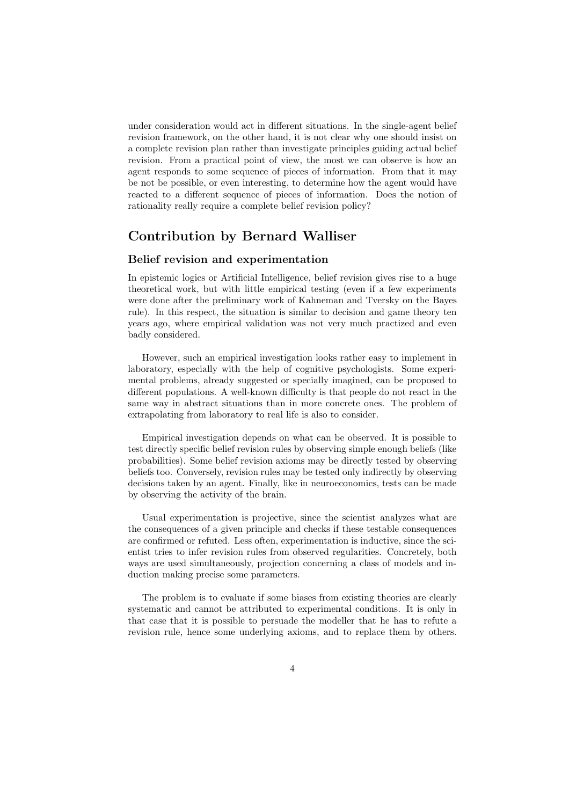under consideration would act in different situations. In the single-agent belief revision framework, on the other hand, it is not clear why one should insist on a complete revision plan rather than investigate principles guiding actual belief revision. From a practical point of view, the most we can observe is how an agent responds to some sequence of pieces of information. From that it may be not be possible, or even interesting, to determine how the agent would have reacted to a different sequence of pieces of information. Does the notion of rationality really require a complete belief revision policy?

# **Contribution by Bernard Walliser**

### **Belief revision and experimentation**

In epistemic logics or Artificial Intelligence, belief revision gives rise to a huge theoretical work, but with little empirical testing (even if a few experiments were done after the preliminary work of Kahneman and Tversky on the Bayes rule). In this respect, the situation is similar to decision and game theory ten years ago, where empirical validation was not very much practized and even badly considered.

However, such an empirical investigation looks rather easy to implement in laboratory, especially with the help of cognitive psychologists. Some experimental problems, already suggested or specially imagined, can be proposed to different populations. A well-known difficulty is that people do not react in the same way in abstract situations than in more concrete ones. The problem of extrapolating from laboratory to real life is also to consider.

Empirical investigation depends on what can be observed. It is possible to test directly specific belief revision rules by observing simple enough beliefs (like probabilities). Some belief revision axioms may be directly tested by observing beliefs too. Conversely, revision rules may be tested only indirectly by observing decisions taken by an agent. Finally, like in neuroeconomics, tests can be made by observing the activity of the brain.

Usual experimentation is projective, since the scientist analyzes what are the consequences of a given principle and checks if these testable consequences are confirmed or refuted. Less often, experimentation is inductive, since the scientist tries to infer revision rules from observed regularities. Concretely, both ways are used simultaneously, projection concerning a class of models and induction making precise some parameters.

The problem is to evaluate if some biases from existing theories are clearly systematic and cannot be attributed to experimental conditions. It is only in that case that it is possible to persuade the modeller that he has to refute a revision rule, hence some underlying axioms, and to replace them by others.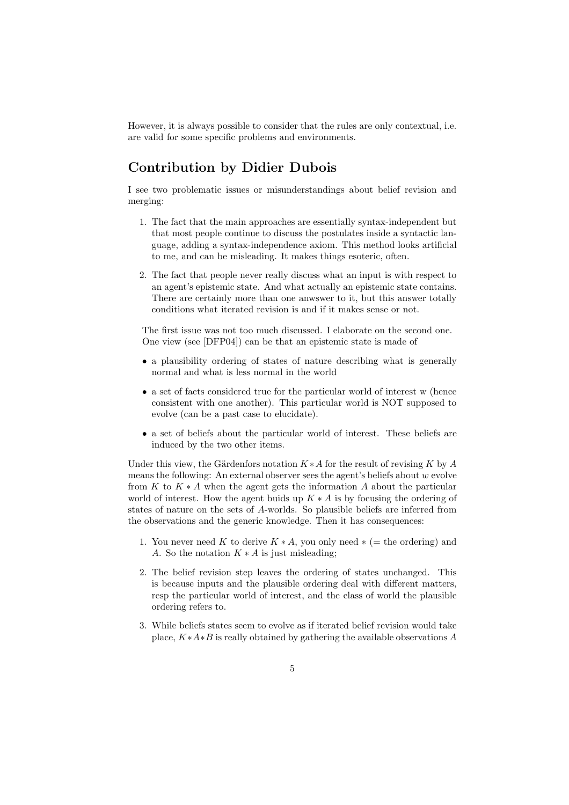However, it is always possible to consider that the rules are only contextual, i.e. are valid for some specific problems and environments.

# **Contribution by Didier Dubois**

I see two problematic issues or misunderstandings about belief revision and merging:

- 1. The fact that the main approaches are essentially syntax-independent but that most people continue to discuss the postulates inside a syntactic language, adding a syntax-independence axiom. This method looks artificial to me, and can be misleading. It makes things esoteric, often.
- 2. The fact that people never really discuss what an input is with respect to an agent's epistemic state. And what actually an epistemic state contains. There are certainly more than one anwswer to it, but this answer totally conditions what iterated revision is and if it makes sense or not.

The first issue was not too much discussed. I elaborate on the second one. One view (see [DFP04]) can be that an epistemic state is made of

- a plausibility ordering of states of nature describing what is generally normal and what is less normal in the world
- a set of facts considered true for the particular world of interest w (hence consistent with one another). This particular world is NOT supposed to evolve (can be a past case to elucidate).
- a set of beliefs about the particular world of interest. These beliefs are induced by the two other items.

Under this view, the Gärdenfors notation  $K * A$  for the result of revising K by A means the following: An external observer sees the agent's beliefs about  $w$  evolve from K to  $K \ast A$  when the agent gets the information A about the particular world of interest. How the agent buids up  $K \ast A$  is by focusing the ordering of states of nature on the sets of A-worlds. So plausible beliefs are inferred from the observations and the generic knowledge. Then it has consequences:

- 1. You never need K to derive  $K * A$ , you only need  $* (=$  the ordering) and A. So the notation  $K * A$  is just misleading:
- 2. The belief revision step leaves the ordering of states unchanged. This is because inputs and the plausible ordering deal with different matters, resp the particular world of interest, and the class of world the plausible ordering refers to.
- 3. While beliefs states seem to evolve as if iterated belief revision would take place,  $K*A*B$  is really obtained by gathering the available observations A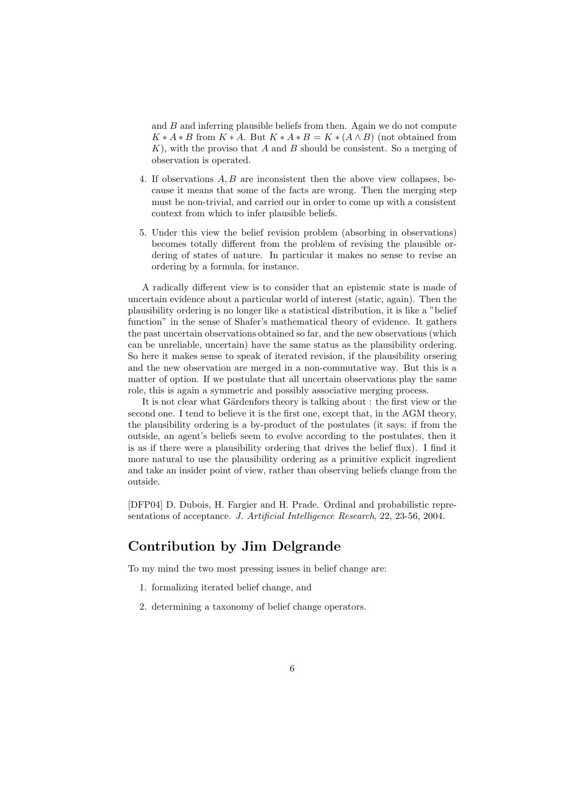and  $B$  and inferring plausible beliefs from then. Again we do not compute  $K * A * B$  from  $K * A$ . But  $K * A * B = K * (A \wedge B)$  (not obtained from  $K$ , with the proviso that A and B should be consistent. So a merging of observation is operated.

- 4. If observations A, B are inconsistent then the above view collapses, because it means that some of the facts are wrong. Then the merging step must be non-trivial, and carried our in order to come up with a consistent context from which to infer plausible beliefs.
- 5. Under this view the belief revision problem (absorbing in observations) becomes totally different from the problem of revising the plausible ordering of states of nature. In particular it makes no sense to revise an ordering by a formula, for instance.

A radically different view is to consider that an epistemic state is made of uncertain evidence about a particular world of interest (static, again). Then the plausibility ordering is no longer like a statistical distribution, it is like a "belief function" in the sense of Shafer's mathematical theory of evidence. It gathers the past uncertain observations obtained so far, and the new observations (which can be unreliable, uncertain) have the same status as the plausibility ordering. So here it makes sense to speak of iterated revision, if the plausibility orsering and the new observation are merged in a non-commutative way. But this is a matter of option. If we postulate that all uncertain observations play the same role, this is again a symmetric and possibly associative merging process.

It is not clear what Gärdenfors theory is talking about : the first view or the second one. I tend to believe it is the first one, except that, in the AGM theory, the plausibility ordering is a by-product of the postulates (it says: if from the outside, an agent's beliefs seem to evolve according to the postulates, then it is as if there were a plausibility ordering that drives the belief flux). I find it more natural to use the plausibility ordering as a primitive explicit ingredient and take an insider point of view, rather than observing beliefs change from the outside.

[DFP04] D. Dubois, H. Fargier and H. Prade. Ordinal and probabilistic representations of acceptance. *J. Artificial Intelligence Research*, 22, 23-56, 2004.

# **Contribution by Jim Delgrande**

To my mind the two most pressing issues in belief change are:

- 1. formalizing iterated belief change, and
- 2. determining a taxonomy of belief change operators.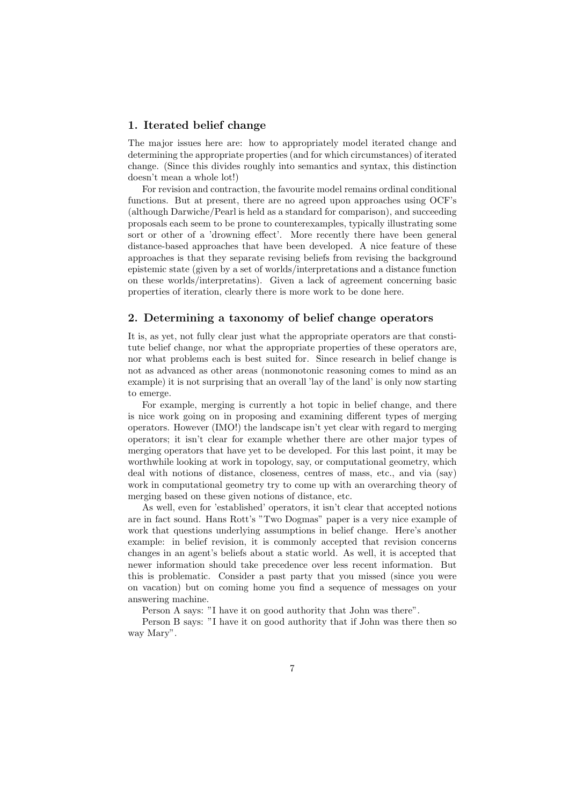#### **1. Iterated belief change**

The major issues here are: how to appropriately model iterated change and determining the appropriate properties (and for which circumstances) of iterated change. (Since this divides roughly into semantics and syntax, this distinction doesn't mean a whole lot!)

For revision and contraction, the favourite model remains ordinal conditional functions. But at present, there are no agreed upon approaches using OCF's (although Darwiche/Pearl is held as a standard for comparison), and succeeding proposals each seem to be prone to counterexamples, typically illustrating some sort or other of a 'drowning effect'. More recently there have been general distance-based approaches that have been developed. A nice feature of these approaches is that they separate revising beliefs from revising the background epistemic state (given by a set of worlds/interpretations and a distance function on these worlds/interpretatins). Given a lack of agreement concerning basic properties of iteration, clearly there is more work to be done here.

## **2. Determining a taxonomy of belief change operators**

It is, as yet, not fully clear just what the appropriate operators are that constitute belief change, nor what the appropriate properties of these operators are, nor what problems each is best suited for. Since research in belief change is not as advanced as other areas (nonmonotonic reasoning comes to mind as an example) it is not surprising that an overall 'lay of the land' is only now starting to emerge.

For example, merging is currently a hot topic in belief change, and there is nice work going on in proposing and examining different types of merging operators. However (IMO!) the landscape isn't yet clear with regard to merging operators; it isn't clear for example whether there are other major types of merging operators that have yet to be developed. For this last point, it may be worthwhile looking at work in topology, say, or computational geometry, which deal with notions of distance, closeness, centres of mass, etc., and via (say) work in computational geometry try to come up with an overarching theory of merging based on these given notions of distance, etc.

As well, even for 'established' operators, it isn't clear that accepted notions are in fact sound. Hans Rott's "Two Dogmas" paper is a very nice example of work that questions underlying assumptions in belief change. Here's another example: in belief revision, it is commonly accepted that revision concerns changes in an agent's beliefs about a static world. As well, it is accepted that newer information should take precedence over less recent information. But this is problematic. Consider a past party that you missed (since you were on vacation) but on coming home you find a sequence of messages on your answering machine.

Person A says: "I have it on good authority that John was there".

Person B says: "I have it on good authority that if John was there then so way Mary".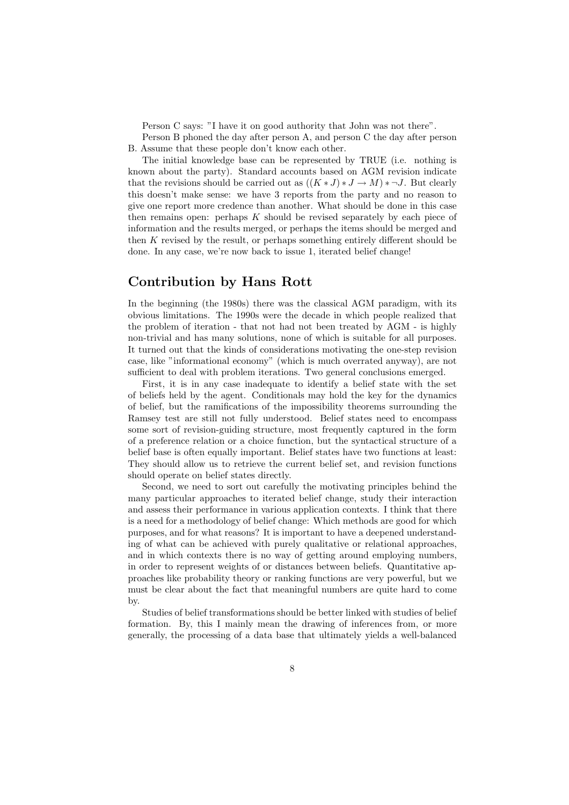Person C says: "I have it on good authority that John was not there".

Person B phoned the day after person A, and person C the day after person B. Assume that these people don't know each other.

The initial knowledge base can be represented by TRUE (i.e. nothing is known about the party). Standard accounts based on AGM revision indicate that the revisions should be carried out as  $((K * J) * J \to M) * \neg J$ . But clearly this doesn't make sense: we have 3 reports from the party and no reason to give one report more credence than another. What should be done in this case then remains open: perhaps  $K$  should be revised separately by each piece of information and the results merged, or perhaps the items should be merged and then K revised by the result, or perhaps something entirely different should be done. In any case, we're now back to issue 1, iterated belief change!

# **Contribution by Hans Rott**

In the beginning (the 1980s) there was the classical AGM paradigm, with its obvious limitations. The 1990s were the decade in which people realized that the problem of iteration - that not had not been treated by AGM - is highly non-trivial and has many solutions, none of which is suitable for all purposes. It turned out that the kinds of considerations motivating the one-step revision case, like "informational economy" (which is much overrated anyway), are not sufficient to deal with problem iterations. Two general conclusions emerged.

First, it is in any case inadequate to identify a belief state with the set of beliefs held by the agent. Conditionals may hold the key for the dynamics of belief, but the ramifications of the impossibility theorems surrounding the Ramsey test are still not fully understood. Belief states need to encompass some sort of revision-guiding structure, most frequently captured in the form of a preference relation or a choice function, but the syntactical structure of a belief base is often equally important. Belief states have two functions at least: They should allow us to retrieve the current belief set, and revision functions should operate on belief states directly.

Second, we need to sort out carefully the motivating principles behind the many particular approaches to iterated belief change, study their interaction and assess their performance in various application contexts. I think that there is a need for a methodology of belief change: Which methods are good for which purposes, and for what reasons? It is important to have a deepened understanding of what can be achieved with purely qualitative or relational approaches, and in which contexts there is no way of getting around employing numbers, in order to represent weights of or distances between beliefs. Quantitative approaches like probability theory or ranking functions are very powerful, but we must be clear about the fact that meaningful numbers are quite hard to come by.

Studies of belief transformations should be better linked with studies of belief formation. By, this I mainly mean the drawing of inferences from, or more generally, the processing of a data base that ultimately yields a well-balanced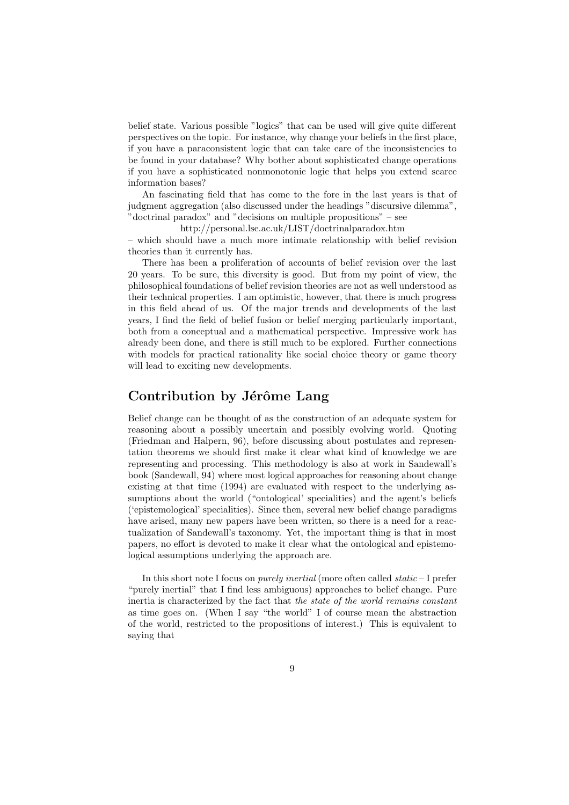belief state. Various possible "logics" that can be used will give quite different perspectives on the topic. For instance, why change your beliefs in the first place, if you have a paraconsistent logic that can take care of the inconsistencies to be found in your database? Why bother about sophisticated change operations if you have a sophisticated nonmonotonic logic that helps you extend scarce information bases?

An fascinating field that has come to the fore in the last years is that of judgment aggregation (also discussed under the headings "discursive dilemma", "doctrinal paradox" and "decisions on multiple propositions" – see

http://personal.lse.ac.uk/LIST/doctrinalparadox.htm

– which should have a much more intimate relationship with belief revision theories than it currently has.

There has been a proliferation of accounts of belief revision over the last 20 years. To be sure, this diversity is good. But from my point of view, the philosophical foundations of belief revision theories are not as well understood as their technical properties. I am optimistic, however, that there is much progress in this field ahead of us. Of the major trends and developments of the last years, I find the field of belief fusion or belief merging particularly important, both from a conceptual and a mathematical perspective. Impressive work has already been done, and there is still much to be explored. Further connections with models for practical rationality like social choice theory or game theory will lead to exciting new developments.

# **Contribution by Jérôme Lang**

Belief change can be thought of as the construction of an adequate system for reasoning about a possibly uncertain and possibly evolving world. Quoting (Friedman and Halpern, 96), before discussing about postulates and representation theorems we should first make it clear what kind of knowledge we are representing and processing. This methodology is also at work in Sandewall's book (Sandewall, 94) where most logical approaches for reasoning about change existing at that time (1994) are evaluated with respect to the underlying assumptions about the world ("ontological' specialities) and the agent's beliefs ('epistemological' specialities). Since then, several new belief change paradigms have arised, many new papers have been written, so there is a need for a reactualization of Sandewall's taxonomy. Yet, the important thing is that in most papers, no effort is devoted to make it clear what the ontological and epistemological assumptions underlying the approach are.

In this short note I focus on *purely inertial* (more often called *static* – I prefer "purely inertial" that I find less ambiguous) approaches to belief change. Pure inertia is characterized by the fact that *the state of the world remains constant* as time goes on. (When I say "the world" I of course mean the abstraction of the world, restricted to the propositions of interest.) This is equivalent to saying that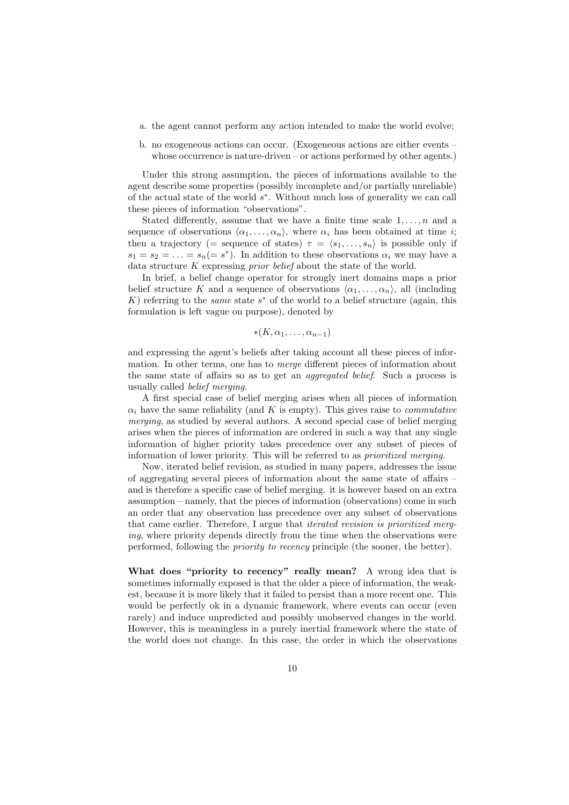- a. the agent cannot perform any action intended to make the world evolve;
- b. no exogeneous actions can occur. (Exogeneous actions are either events whose occurrence is nature-driven – or actions performed by other agents.)

Under this strong assumption, the pieces of informations available to the agent describe some properties (possibly incomplete and/or partially unreliable) of the actual state of the world s∗. Without much loss of generality we can call these pieces of information "observations".

Stated differently, assume that we have a finite time scale  $1, \ldots, n$  and a sequence of observations  $\langle \alpha_1, \ldots, \alpha_n \rangle$ , where  $\alpha_i$  has been obtained at time *i*; then a trajectory (= sequence of states)  $\tau = \langle s_1, \ldots, s_n \rangle$  is possible only if  $s_1 = s_2 = \ldots = s_n (= s^*)$ . In addition to these observations  $\alpha_i$  we may have a data structure K expressing *prior belief* about the state of the world.

In brief, a belief change operator for strongly inert domains maps a prior belief structure K and a sequence of observations  $\langle \alpha_1, \ldots, \alpha_n \rangle$ , all (including K) referring to the *same* state  $s^*$  of the world to a belief structure (again, this formulation is left vague on purpose), denoted by

$$
*(K,\alpha_1,\ldots,\alpha_{n-1})
$$

and expressing the agent's beliefs after taking account all these pieces of information. In other terms, one has to *merge* different pieces of information about the same state of affairs so as to get an *aggregated belief*. Such a process is usually called *belief merging*.

A first special case of belief merging arises when all pieces of information  $\alpha_i$  have the same reliability (and K is empty). This gives raise to *commutative merging*, as studied by several authors. A second special case of belief merging arises when the pieces of information are ordered in such a way that any single information of higher priority takes precedence over any subset of pieces of information of lower priority. This will be referred to as *prioritized merging*.

Now, iterated belief revision, as studied in many papers, addresses the issue of aggregating several pieces of information about the same state of affairs – and is therefore a specific case of belief merging. it is however based on an extra assumption – namely, that the pieces of information (observations) come in such an order that any observation has precedence over any subset of observations that came earlier. Therefore, I argue that *iterated revision is prioritized merging*, where priority depends directly from the time when the observations were performed, following the *priority to recency* principle (the sooner, the better).

**What does "priority to recency" really mean?** A wrong idea that is sometimes informally exposed is that the older a piece of information, the weakest, because it is more likely that it failed to persist than a more recent one. This would be perfectly ok in a dynamic framework, where events can occur (even rarely) and induce unpredicted and possibly unobserved changes in the world. However, this is meaningless in a purely inertial framework where the state of the world does not change. In this case, the order in which the observations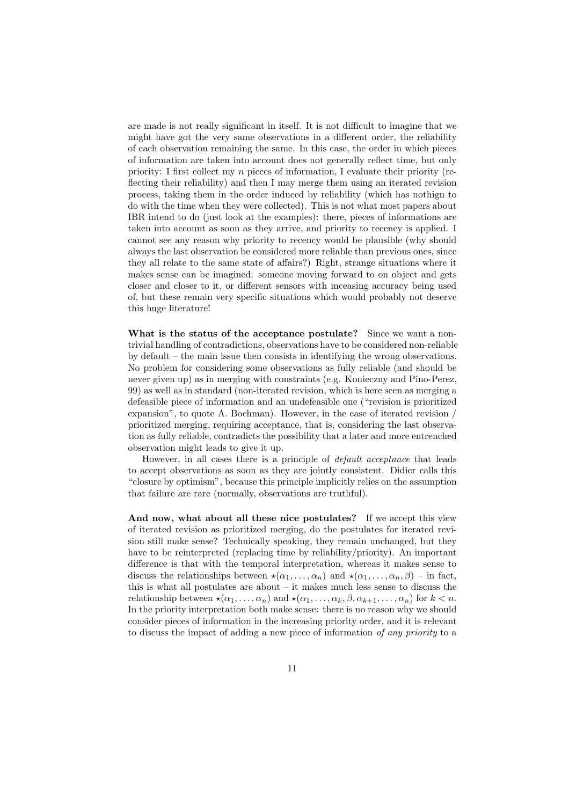are made is not really significant in itself. It is not difficult to imagine that we might have got the very same observations in a different order, the reliability of each observation remaining the same. In this case, the order in which pieces of information are taken into account does not generally reflect time, but only priority: I first collect my n pieces of information, I evaluate their priority (reflecting their reliability) and then I may merge them using an iterated revision process, taking them in the order induced by reliability (which has nothign to do with the time when they were collected). This is not what most papers about IBR intend to do (just look at the examples): there, pieces of informations are taken into account as soon as they arrive, and priority to recency is applied. I cannot see any reason why priority to recency would be plausible (why should always the last observation be considered more reliable than previous ones, since they all relate to the same state of affairs?) Right, strange situations where it makes sense can be imagined: someone moving forward to on object and gets closer and closer to it, or different sensors with inceasing accuracy being used of, but these remain very specific situations which would probably not deserve this huge literature!

**What is the status of the acceptance postulate?** Since we want a nontrivial handling of contradictions, observations have to be considered non-reliable by default – the main issue then consists in identifying the wrong observations. No problem for considering some observations as fully reliable (and should be never given up) as in merging with constraints (e.g. Konieczny and Pino-Perez, 99) as well as in standard (non-iterated revision, which is here seen as merging a defeasible piece of information and an undefeasible one ("revision is prioritized expansion", to quote A. Bochman). However, in the case of iterated revision / prioritized merging, requiring acceptance, that is, considering the last observation as fully reliable, contradicts the possibility that a later and more entrenched observation might leads to give it up.

However, in all cases there is a principle of *default acceptance* that leads to accept observations as soon as they are jointly consistent. Didier calls this "closure by optimism", because this principle implicitly relies on the assumption that failure are rare (normally, observations are truthful).

**And now, what about all these nice postulates?** If we accept this view of iterated revision as prioritized merging, do the postulates for iterated revision still make sense? Technically speaking, they remain unchanged, but they have to be reinterpreted (replacing time by reliability/priority). An important difference is that with the temporal interpretation, whereas it makes sense to discuss the relationships between  $\star(\alpha_1,\ldots,\alpha_n)$  and  $\star(\alpha_1,\ldots,\alpha_n,\beta)$  – in fact, this is what all postulates are about – it makes much less sense to discuss the relationship between  $\star(\alpha_1,\ldots,\alpha_n)$  and  $\star(\alpha_1,\ldots,\alpha_k,\beta,\alpha_{k+1},\ldots,\alpha_n)$  for  $k < n$ . In the priority interpretation both make sense: there is no reason why we should consider pieces of information in the increasing priority order, and it is relevant to discuss the impact of adding a new piece of information *of any priority* to a